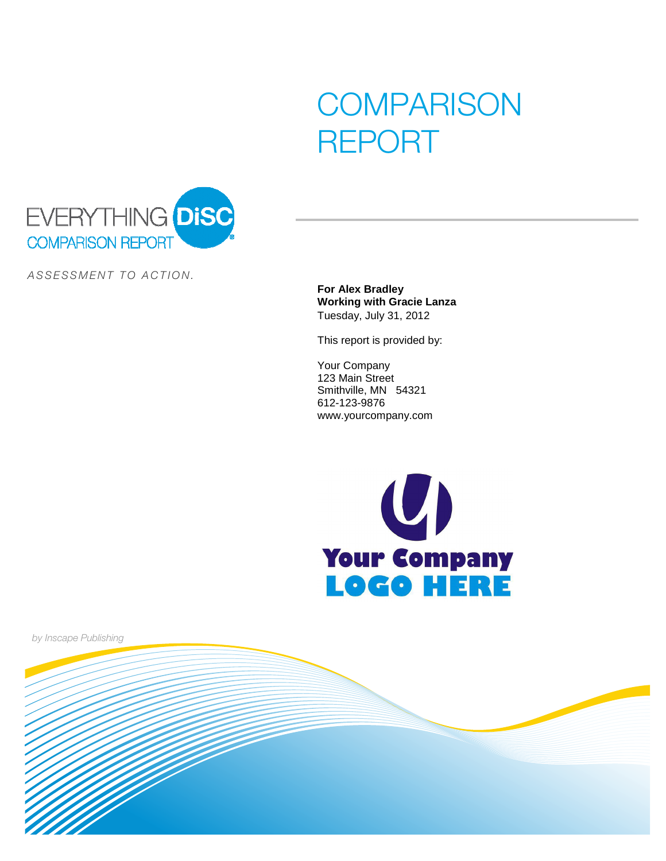# **COMPARISON** REPORT



ASSESSMENT TO ACTION.

**For Alex Bradley Working with Gracie Lanza** Tuesday, July 31, 2012

This report is provided by:

Your Company 123 Main Street Smithville, MN 54321 612-123-9876 www.yourcompany.com



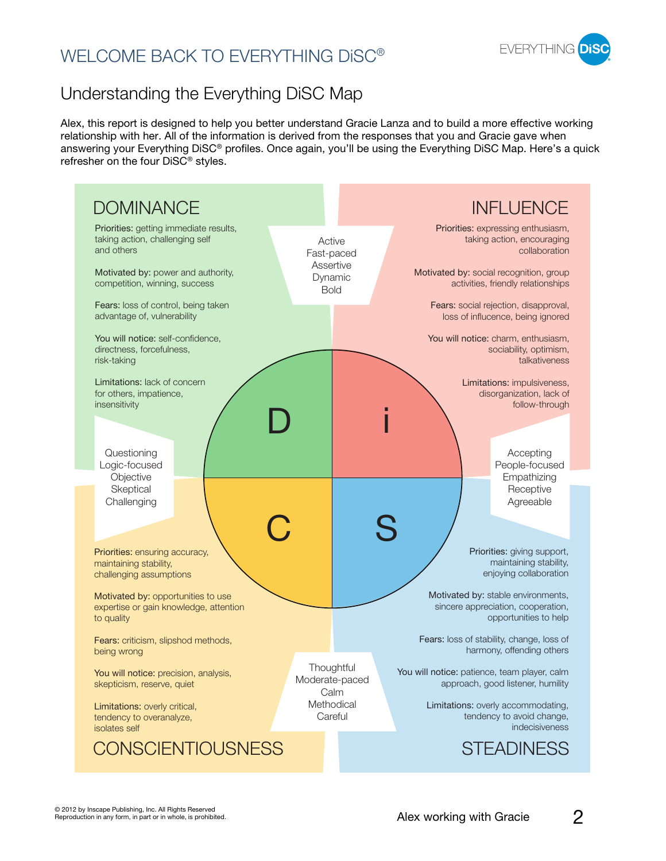# WELCOME BACK TO EVERYTHING DISC<sup>®</sup>



# Understanding the Everything DiSC Map

Alex, this report is designed to help you better understand Gracie Lanza and to build a more effective working relationship with her. All of the information is derived from the responses that you and Gracie gave when answering your Everything DiSC® profiles. Once again, you'll be using the Everything DiSC Map. Here's a quick refresher on the four DiSC® styles.

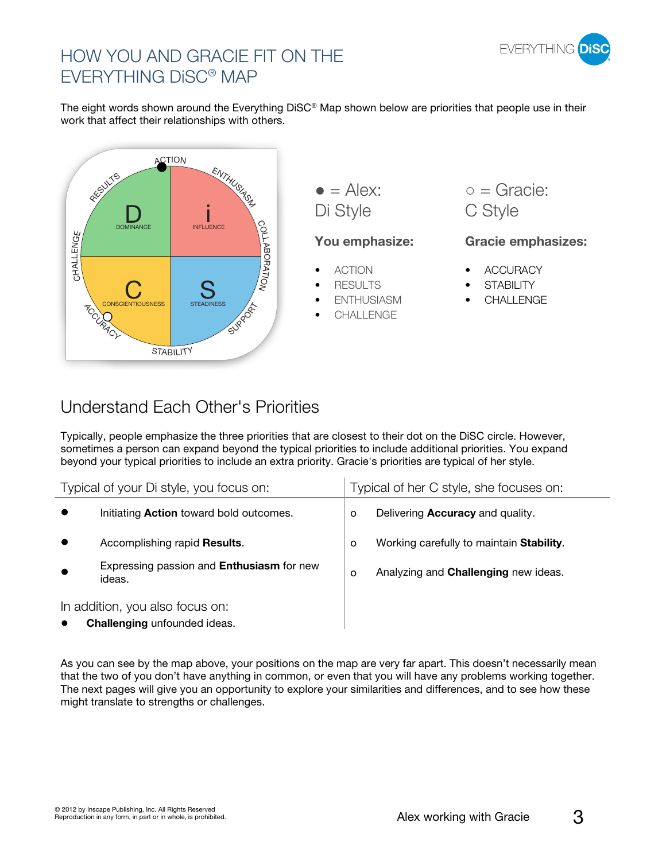

# HOW YOU AND GRACIE FIT ON THE EVERYTHING DiSC® MAP

The eight words shown around the Everything DiSC® Map shown below are priorities that people use in their work that affect their relationships with others.



 $\bullet =$  Alex: Di Style C Style

### **You emphasize: Gracie emphasizes:**

- ACTION
- RESULTS
- **ENTHUSIASM**
- **CHALLENGE**

 $Q =$  Gracie:

- **ACCURACY**
- **STABILITY**
- **CHALLENGE**

# Understand Each Other's Priorities

Typically, people emphasize the three priorities that are closest to their dot on the DiSC circle. However, sometimes a person can expand beyond the typical priorities to include additional priorities. You expand beyond your typical priorities to include an extra priority. Gracie's priorities are typical of her style.

| Typical of your Di style, you focus on:                         |                                                            | Typical of her C style, she focuses on: |                                             |
|-----------------------------------------------------------------|------------------------------------------------------------|-----------------------------------------|---------------------------------------------|
|                                                                 | Initiating <b>Action</b> toward bold outcomes.             | O                                       | Delivering <b>Accuracy</b> and quality.     |
|                                                                 | Accomplishing rapid Results.                               | $\circ$                                 | Working carefully to maintain Stability.    |
|                                                                 | Expressing passion and <b>Enthusiasm</b> for new<br>ideas. | $\circ$                                 | Analyzing and <b>Challenging</b> new ideas. |
| In addition, you also focus on:<br>Challenging unfounded ideas. |                                                            |                                         |                                             |

As you can see by the map above, your positions on the map are very far apart. This doesn't necessarily mean that the two of you don't have anything in common, or even that you will have any problems working together. The next pages will give you an opportunity to explore your similarities and differences, and to see how these might translate to strengths or challenges.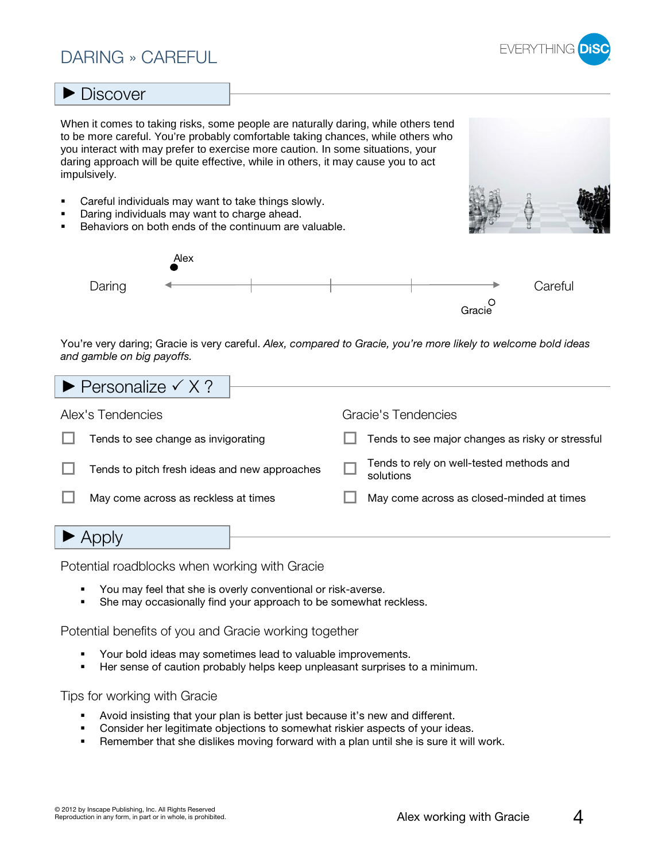# DARING » CAREFUL



### **Discover**

When it comes to taking risks, some people are naturally daring, while others tend to be more careful. You're probably comfortable taking chances, while others who you interact with may prefer to exercise more caution. In some situations, your daring approach will be quite effective, while in others, it may cause you to act impulsively.

- -Careful individuals may want to take things slowly.
- -Daring individuals may want to charge ahead.
- -Behaviors on both ends of the continuum are valuable.



You're very daring; Gracie is very careful. Alex, compared to Gracie, you're more likely to welcome bold ideas and gamble on big payoffs.

| $\blacktriangleright$ Personalize $\checkmark$ X ? |                                                       |
|----------------------------------------------------|-------------------------------------------------------|
| Alex's Tendencies                                  | Gracie's Tendencies                                   |
| Tends to see change as invigorating                | Tends to see major changes as risky or stressful      |
| Tends to pitch fresh ideas and new approaches      | Tends to rely on well-tested methods and<br>solutions |
| May come across as reckless at times               | May come across as closed-minded at times             |
|                                                    |                                                       |

Potential roadblocks when working with Gracie

- -You may feel that she is overly conventional or risk-averse.
- -She may occasionally find your approach to be somewhat reckless.

Potential benefits of you and Gracie working together

- -Your bold ideas may sometimes lead to valuable improvements.
- -Her sense of caution probably helps keep unpleasant surprises to a minimum.

- -Avoid insisting that your plan is better just because it's new and different.
- -Consider her legitimate objections to somewhat riskier aspects of your ideas.
- -Remember that she dislikes moving forward with a plan until she is sure it will work.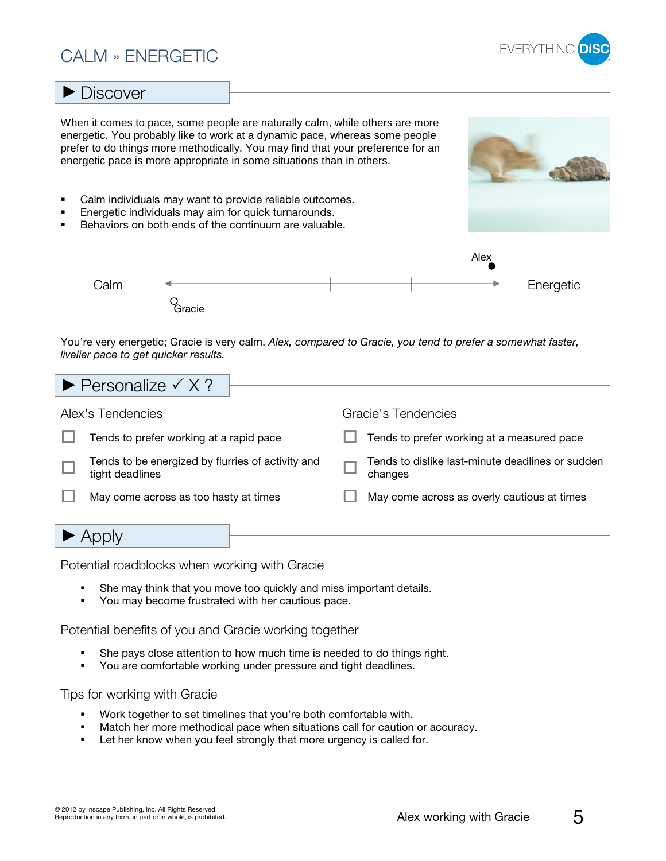# CALM » ENERGETIC

### **Discover**

When it comes to pace, some people are naturally calm, while others are more energetic. You probably like to work at a dynamic pace, whereas some people prefer to do things more methodically. You may find that your preference for an energetic pace is more appropriate in some situations than in others.

- -Calm individuals may want to provide reliable outcomes.
- -Energetic individuals may aim for quick turnarounds.
- -Behaviors on both ends of the continuum are valuable.



You're very energetic; Gracie is very calm. Alex, compared to Gracie, you tend to prefer a somewhat faster, livelier pace to get quicker results.

| $\blacktriangleright$ Personalize $\checkmark$ X ?                   |                                                             |
|----------------------------------------------------------------------|-------------------------------------------------------------|
| Alex's Tendencies                                                    | Gracie's Tendencies                                         |
| Tends to prefer working at a rapid pace                              | Tends to prefer working at a measured pace                  |
| Tends to be energized by flurries of activity and<br>tight deadlines | Tends to dislike last-minute deadlines or sudden<br>changes |
| May come across as too hasty at times                                | May come across as overly cautious at times                 |
|                                                                      |                                                             |

### $\blacktriangleright$  Apply

Potential roadblocks when working with Gracie

- -She may think that you move too quickly and miss important details.
- -You may become frustrated with her cautious pace.

Potential benefits of you and Gracie working together

- -She pays close attention to how much time is needed to do things right.
- -You are comfortable working under pressure and tight deadlines.

- -Work together to set timelines that you're both comfortable with.
- -Match her more methodical pace when situations call for caution or accuracy.
- -Let her know when you feel strongly that more urgency is called for.



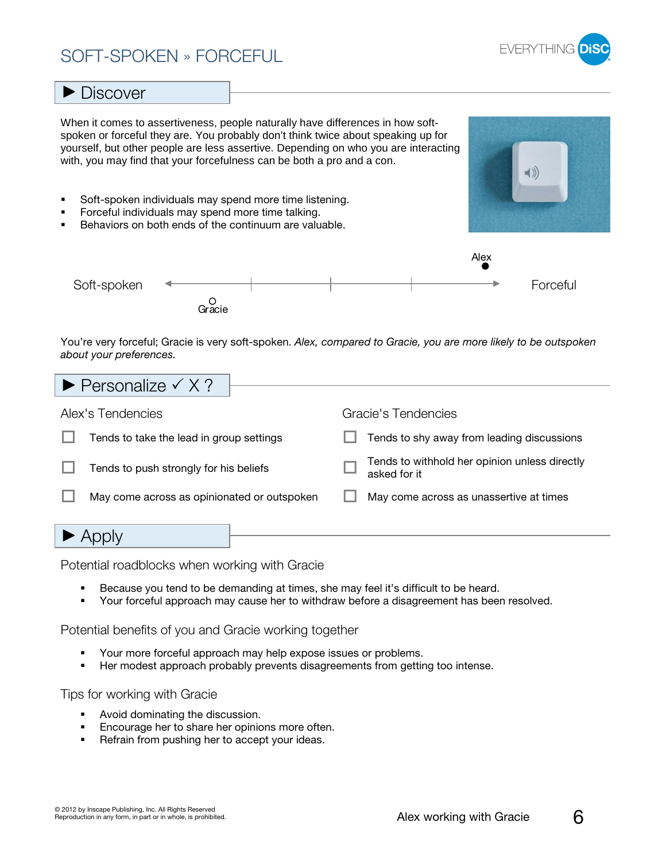# SOFT-SPOKEN » FORCEFUL

**Discover** 



- Avoid dominating the discussion. -Encourage her to share her opinions more often.

Potential benefits of you and Gracie working together

Potential roadblocks when working with Gracie

-Refrain from pushing her to accept your ideas.

Tips for working with Gracie

-

-

-

-

### $\ket{\ket}$ - Soft-spoken individuals may spend more time listening. Forceful individuals may spend more time talking. - Behaviors on both ends of the continuum are valuable. -AlexSoft-spoken Forceful O<br>Gracie You're very forceful; Gracie is very soft-spoken. Alex, compared to Gracie, you are more likely to be outspoken about your preferences.  $\blacktriangleright$  Personalize  $\checkmark$  X ?

| $\blacktriangleright$ Personalize $\checkmark$ X ? |  |  |                                                               |  |  |
|----------------------------------------------------|--|--|---------------------------------------------------------------|--|--|
|                                                    |  |  |                                                               |  |  |
| Alex's Tendencies                                  |  |  | Gracie's Tendencies                                           |  |  |
| Tends to take the lead in group settings           |  |  | Tends to shy away from leading discussions                    |  |  |
| Tends to push strongly for his beliefs             |  |  | Tends to withhold her opinion unless directly<br>asked for it |  |  |
| May come across as opinionated or outspoken        |  |  | May come across as unassertive at times                       |  |  |
|                                                    |  |  |                                                               |  |  |
|                                                    |  |  |                                                               |  |  |

Because you tend to be demanding at times, she may feel it's difficult to be heard.

Her modest approach probably prevents disagreements from getting too intense.

Your more forceful approach may help expose issues or problems.

Your forceful approach may cause her to withdraw before a disagreement has been resolved.

When it comes to assertiveness, people naturally have differences in how softspoken or forceful they are. You probably don't think twice about speaking up for yourself, but other people are less assertive. Depending on who you are interacting with, you may find that your forcefulness can be both a pro and a con.



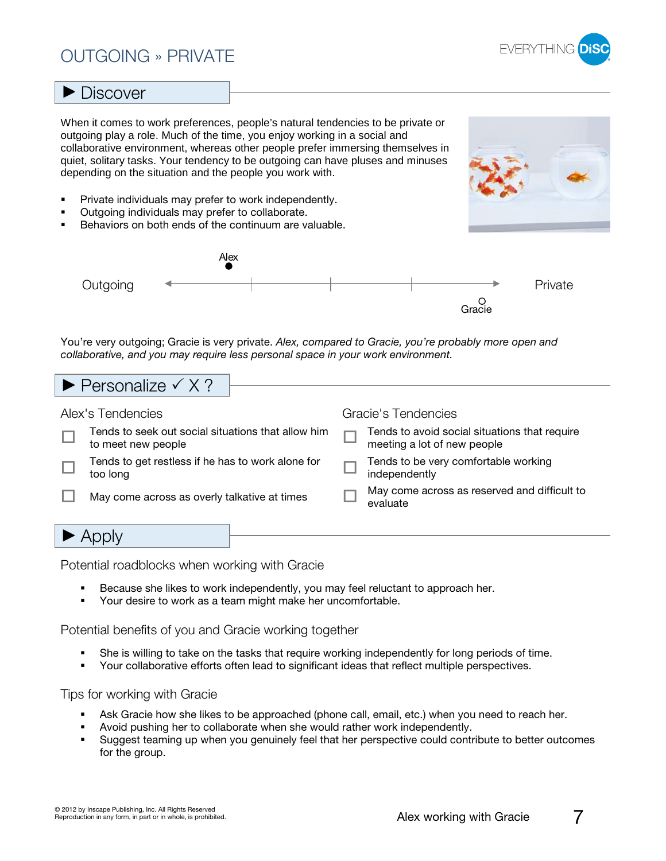# OUTGOING » PRIVATE



### **Discover**

When it comes to work preferences, people's natural tendencies to be private or outgoing play a role. Much of the time, you enjoy working in a social and collaborative environment, whereas other people prefer immersing themselves in quiet, solitary tasks. Your tendency to be outgoing can have pluses and minuses depending on the situation and the people you work with.

- -Private individuals may prefer to work independently.
- -Outgoing individuals may prefer to collaborate.
- -Behaviors on both ends of the continuum are valuable.



You're very outgoing; Gracie is very private. Alex, compared to Gracie, you're probably more open and collaborative, and you may require less personal space in your work environment.

| $\blacktriangleright$ Personalize $\checkmark$ X ?                       |  |                                                                              |
|--------------------------------------------------------------------------|--|------------------------------------------------------------------------------|
|                                                                          |  |                                                                              |
| Alex's Tendencies                                                        |  | Gracie's Tendencies                                                          |
| Tends to seek out social situations that allow him<br>to meet new people |  | Tends to avoid social situations that require<br>meeting a lot of new people |
| Tends to get restless if he has to work alone for<br>too long            |  | Tends to be very comfortable working<br>independently                        |
| May come across as overly talkative at times                             |  | May come across as reserved and difficult to<br>evaluate                     |
|                                                                          |  |                                                                              |
|                                                                          |  |                                                                              |

### $\blacktriangleright$  Apply

Potential roadblocks when working with Gracie

- -Because she likes to work independently, you may feel reluctant to approach her.
- -Your desire to work as a team might make her uncomfortable.

Potential benefits of you and Gracie working together

- -She is willing to take on the tasks that require working independently for long periods of time.
- -Your collaborative efforts often lead to significant ideas that reflect multiple perspectives.

- -Ask Gracie how she likes to be approached (phone call, email, etc.) when you need to reach her.
- -Avoid pushing her to collaborate when she would rather work independently.
- - Suggest teaming up when you genuinely feel that her perspective could contribute to better outcomes for the group.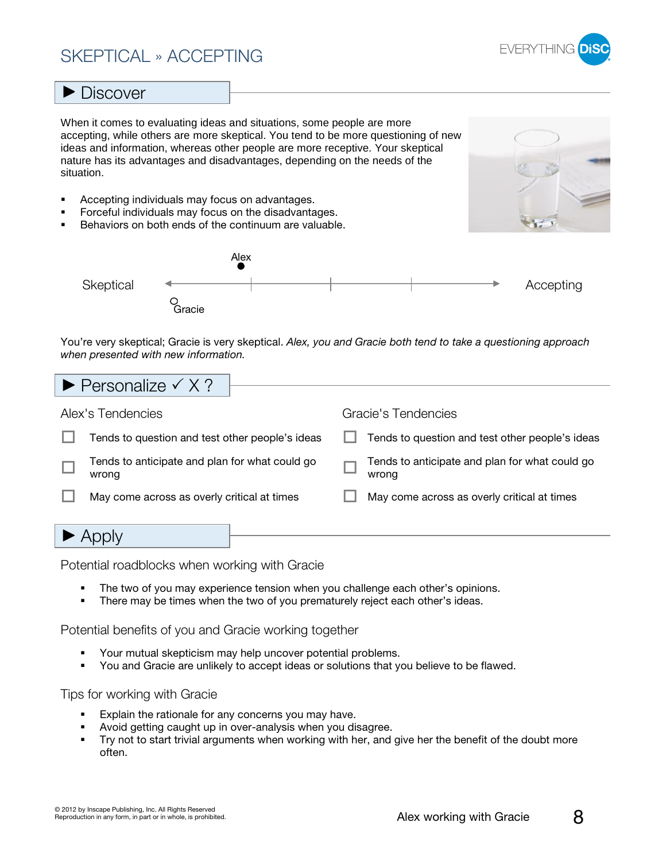# SKEPTICAL » ACCEPTING



### **Discover**

When it comes to evaluating ideas and situations, some people are more accepting, while others are more skeptical. You tend to be more questioning of new ideas and information, whereas other people are more receptive. Your skeptical nature has its advantages and disadvantages, depending on the needs of the situation.

- -Accepting individuals may focus on advantages.
- -Forceful individuals may focus on the disadvantages.
- -Behaviors on both ends of the continuum are valuable.



|           |        | Alex |  |           |
|-----------|--------|------|--|-----------|
| Skeptical |        |      |  | Accepting |
|           | Gracie |      |  |           |

You're very skeptical; Gracie is very skeptical. Alex, you and Gracie both tend to take a questioning approach when presented with new information.

| $\blacktriangleright$ Personalize $\checkmark$ X ?      |                                                         |
|---------------------------------------------------------|---------------------------------------------------------|
| Alex's Tendencies                                       | Gracie's Tendencies                                     |
| Tends to question and test other people's ideas         | Tends to question and test other people's ideas         |
| Tends to anticipate and plan for what could go<br>wrong | Tends to anticipate and plan for what could go<br>wrong |
| May come across as overly critical at times             | May come across as overly critical at times             |
|                                                         |                                                         |

Potential roadblocks when working with Gracie

- -The two of you may experience tension when you challenge each other's opinions.
- -There may be times when the two of you prematurely reject each other's ideas.

Potential benefits of you and Gracie working together

- -Your mutual skepticism may help uncover potential problems.
- -You and Gracie are unlikely to accept ideas or solutions that you believe to be flawed.

- -Explain the rationale for any concerns you may have.
- -Avoid getting caught up in over-analysis when you disagree.
- - Try not to start trivial arguments when working with her, and give her the benefit of the doubt more often.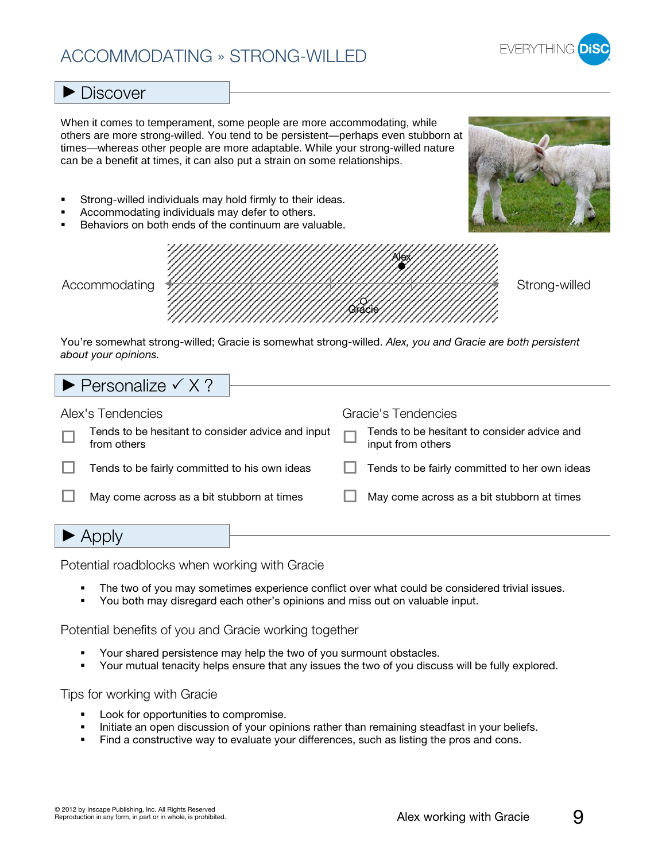# ACCOMMODATING » STRONG-WILLED



### **Discover**

When it comes to temperament, some people are more accommodating, while others are more strong-willed. You tend to be persistent—perhaps even stubborn at times—whereas other people are more adaptable. While your strong-willed nature can be a benefit at times, it can also put a strain on some relationships.

- -Strong-willed individuals may hold firmly to their ideas.
- -Accommodating individuals may defer to others.
- -Behaviors on both ends of the continuum are valuable.





You're somewhat strong-willed; Gracie is somewhat strong-willed. Alex, you and Gracie are both persistent about your opinions.

| $\blacktriangleright$ Personalize $\checkmark$ X ?               |  |                                                                    |
|------------------------------------------------------------------|--|--------------------------------------------------------------------|
| Alex's Tendencies                                                |  | Gracie's Tendencies<br>Tends to be hesitant to consider advice and |
| Tends to be hesitant to consider advice and input<br>from others |  | input from others                                                  |
| Tends to be fairly committed to his own ideas                    |  | Tends to be fairly committed to her own ideas                      |
| May come across as a bit stubborn at times                       |  | May come across as a bit stubborn at times                         |
|                                                                  |  |                                                                    |

Potential roadblocks when working with Gracie

- -The two of you may sometimes experience conflict over what could be considered trivial issues.
- -You both may disregard each other's opinions and miss out on valuable input.

Potential benefits of you and Gracie working together

- -Your shared persistence may help the two of you surmount obstacles.
- -Your mutual tenacity helps ensure that any issues the two of you discuss will be fully explored.

- -Look for opportunities to compromise.
- -Initiate an open discussion of your opinions rather than remaining steadfast in your beliefs.
- Find a constructive way to evaluate your differences, such as listing the pros and cons.